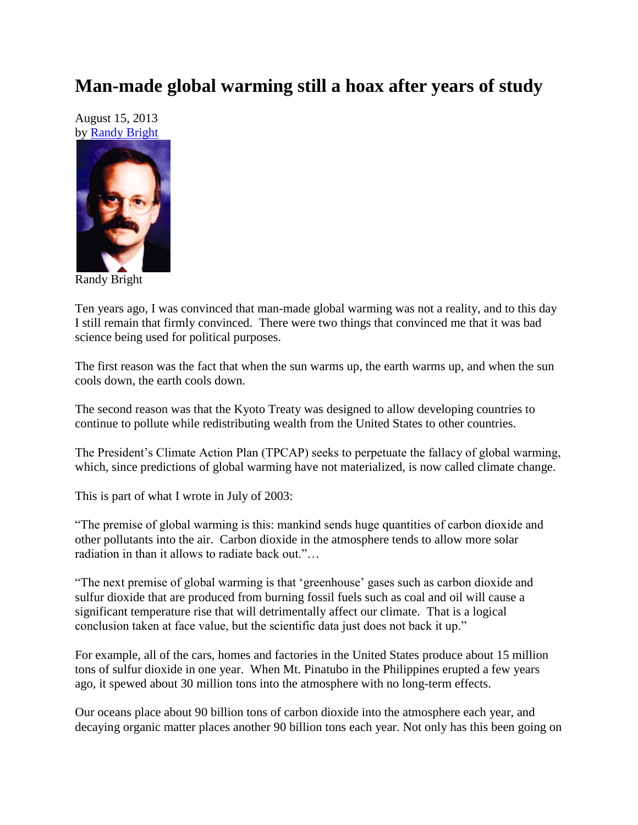## **Man-made global warming still a hoax after years of study**

August 15, 2013 by [Randy Bright](http://tulsabeacon.com/writers/randy-bright/)



Randy Bright

Ten years ago, I was convinced that man-made global warming was not a reality, and to this day I still remain that firmly convinced. There were two things that convinced me that it was bad science being used for political purposes.

The first reason was the fact that when the sun warms up, the earth warms up, and when the sun cools down, the earth cools down.

The second reason was that the Kyoto Treaty was designed to allow developing countries to continue to pollute while redistributing wealth from the United States to other countries.

The President's Climate Action Plan (TPCAP) seeks to perpetuate the fallacy of global warming, which, since predictions of global warming have not materialized, is now called climate change.

This is part of what I wrote in July of 2003:

"The premise of global warming is this: mankind sends huge quantities of carbon dioxide and other pollutants into the air. Carbon dioxide in the atmosphere tends to allow more solar radiation in than it allows to radiate back out."…

"The next premise of global warming is that "greenhouse" gases such as carbon dioxide and sulfur dioxide that are produced from burning fossil fuels such as coal and oil will cause a significant temperature rise that will detrimentally affect our climate. That is a logical conclusion taken at face value, but the scientific data just does not back it up."

For example, all of the cars, homes and factories in the United States produce about 15 million tons of sulfur dioxide in one year. When Mt. Pinatubo in the Philippines erupted a few years ago, it spewed about 30 million tons into the atmosphere with no long-term effects.

Our oceans place about 90 billion tons of carbon dioxide into the atmosphere each year, and decaying organic matter places another 90 billion tons each year. Not only has this been going on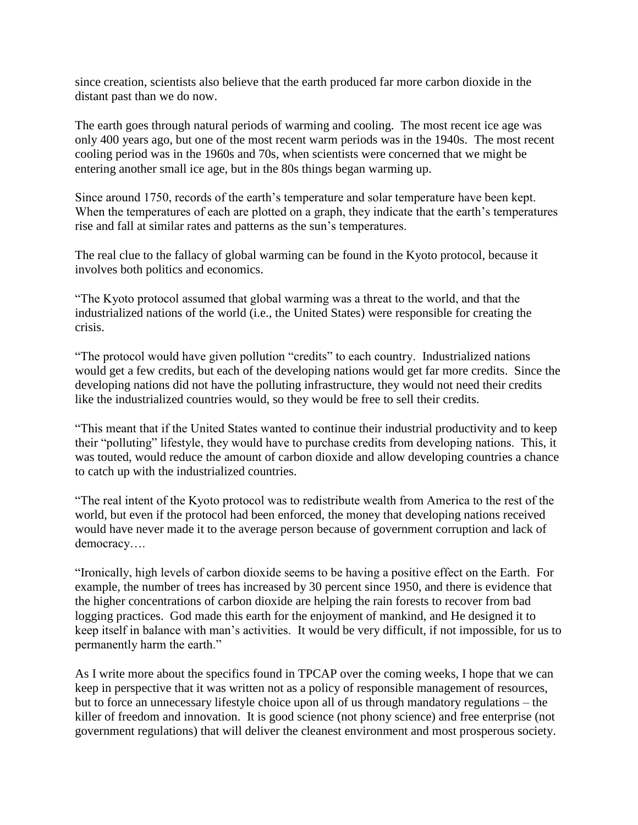since creation, scientists also believe that the earth produced far more carbon dioxide in the distant past than we do now.

The earth goes through natural periods of warming and cooling. The most recent ice age was only 400 years ago, but one of the most recent warm periods was in the 1940s. The most recent cooling period was in the 1960s and 70s, when scientists were concerned that we might be entering another small ice age, but in the 80s things began warming up.

Since around 1750, records of the earth"s temperature and solar temperature have been kept. When the temperatures of each are plotted on a graph, they indicate that the earth's temperatures rise and fall at similar rates and patterns as the sun"s temperatures.

The real clue to the fallacy of global warming can be found in the Kyoto protocol, because it involves both politics and economics.

"The Kyoto protocol assumed that global warming was a threat to the world, and that the industrialized nations of the world (i.e., the United States) were responsible for creating the crisis.

"The protocol would have given pollution "credits" to each country. Industrialized nations would get a few credits, but each of the developing nations would get far more credits. Since the developing nations did not have the polluting infrastructure, they would not need their credits like the industrialized countries would, so they would be free to sell their credits.

"This meant that if the United States wanted to continue their industrial productivity and to keep their "polluting" lifestyle, they would have to purchase credits from developing nations. This, it was touted, would reduce the amount of carbon dioxide and allow developing countries a chance to catch up with the industrialized countries.

"The real intent of the Kyoto protocol was to redistribute wealth from America to the rest of the world, but even if the protocol had been enforced, the money that developing nations received would have never made it to the average person because of government corruption and lack of democracy….

"Ironically, high levels of carbon dioxide seems to be having a positive effect on the Earth. For example, the number of trees has increased by 30 percent since 1950, and there is evidence that the higher concentrations of carbon dioxide are helping the rain forests to recover from bad logging practices. God made this earth for the enjoyment of mankind, and He designed it to keep itself in balance with man"s activities. It would be very difficult, if not impossible, for us to permanently harm the earth."

As I write more about the specifics found in TPCAP over the coming weeks, I hope that we can keep in perspective that it was written not as a policy of responsible management of resources, but to force an unnecessary lifestyle choice upon all of us through mandatory regulations – the killer of freedom and innovation. It is good science (not phony science) and free enterprise (not government regulations) that will deliver the cleanest environment and most prosperous society.